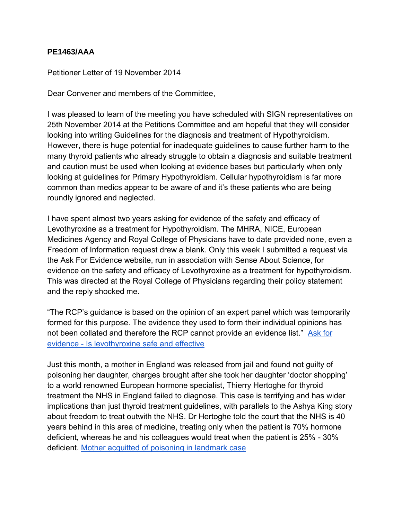## **PE1463/AAA**

Petitioner Letter of 19 November 2014

Dear Convener and members of the Committee,

I was pleased to learn of the meeting you have scheduled with SIGN representatives on 25th November 2014 at the Petitions Committee and am hopeful that they will consider looking into writing Guidelines for the diagnosis and treatment of Hypothyroidism. However, there is huge potential for inadequate guidelines to cause further harm to the many thyroid patients who already struggle to obtain a diagnosis and suitable treatment and caution must be used when looking at evidence bases but particularly when only looking at guidelines for Primary Hypothyroidism. Cellular hypothyroidism is far more common than medics appear to be aware of and it's these patients who are being roundly ignored and neglected.

I have spent almost two years asking for evidence of the safety and efficacy of Levothyroxine as a treatment for Hypothyroidism. The MHRA, NICE, European Medicines Agency and Royal College of Physicians have to date provided none, even a Freedom of Information request drew a blank. Only this week I submitted a request via the Ask For Evidence website, run in association with Sense About Science, for evidence on the safety and efficacy of Levothyroxine as a treatment for hypothyroidism. This was directed at the Royal College of Physicians regarding their policy statement and the reply shocked me.

"The RCP's guidance is based on the opinion of an expert panel which was temporarily formed for this purpose. The evidence they used to form their individual opinions has not been collated and therefore the RCP cannot provide an evidence list." [Ask for](http://www.askforevidence.org/ask-for-evidence/545b638a73657242372a0000)  [evidence - Is levothyroxine safe and effective](http://www.askforevidence.org/ask-for-evidence/545b638a73657242372a0000)

Just this month, a mother in England was released from jail and found not guilty of poisoning her daughter, charges brought after she took her daughter 'doctor shopping' to a world renowned European hormone specialist, Thierry Hertoghe for thyroid treatment the NHS in England failed to diagnose. This case is terrifying and has wider implications than just thyroid treatment guidelines, with parallels to the Ashya King story about freedom to treat outwith the NHS. Dr Hertoghe told the court that the NHS is 40 years behind in this area of medicine, treating only when the patient is 70% hormone deficient, whereas he and his colleagues would treat when the patient is 25% - 30% deficient. [Mother acquitted of poisoning in landmark case](http://kenhindbarrister.co.uk/press/)